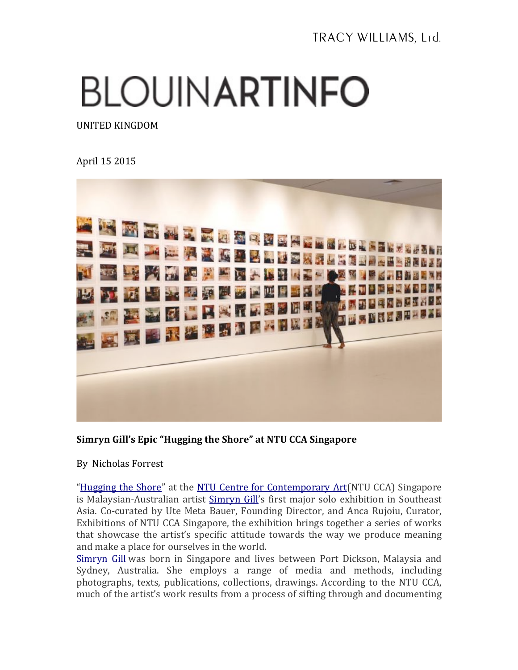## **BLOUINARTINFO**

UNITED KINGDOM

## April 15 2015



## Simryn Gill's Epic "Hugging the Shore" at NTU CCA Singapore

By Nicholas Forrest

"Hugging the Shore" at the NTU Centre for Contemporary Art(NTU CCA) Singapore is Malaysian-Australian artist Simryn Gill's first major solo exhibition in Southeast Asia. Co-curated by Ute Meta Bauer, Founding Director, and Anca Rujoiu, Curator, Exhibitions of NTU CCA Singapore, the exhibition brings together a series of works that showcase the artist's specific attitude towards the way we produce meaning and make a place for ourselves in the world.

Simryn Gill was born in Singapore and lives between Port Dickson, Malaysia and Sydney, Australia. She employs a range of media and methods, including photographs, texts, publications, collections, drawings. According to the NTU CCA, much of the artist's work results from a process of sifting through and documenting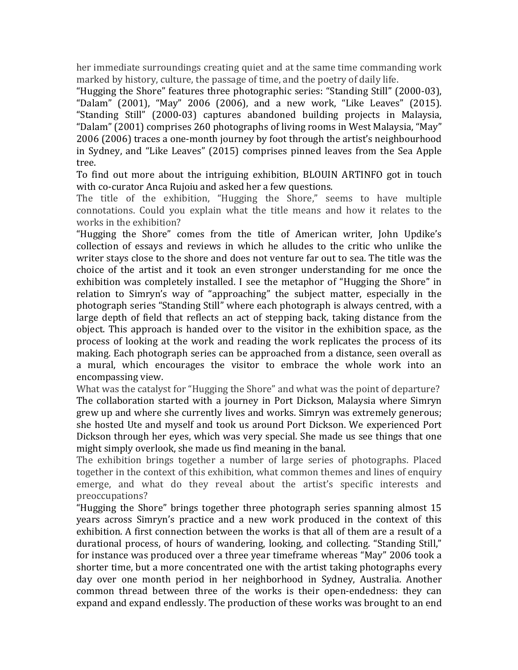her immediate surroundings creating quiet and at the same time commanding work marked by history, culture, the passage of time, and the poetry of daily life.

"Hugging the Shore" features three photographic series: "Standing Still" (2000-03), "Dalam"  $(2001)$ , "May"  $2006$   $(2006)$ , and a new work, "Like Leaves"  $(2015)$ . "Standing Still" (2000-03) captures abandoned building projects in Malaysia, "Dalam" (2001) comprises 260 photographs of living rooms in West Malaysia, "May" 2006 (2006) traces a one-month journey by foot through the artist's neighbourhood in Sydney, and "Like Leaves" (2015) comprises pinned leaves from the Sea Apple tree.

To find out more about the intriguing exhibition, BLOUIN ARTINFO got in touch with co-curator Anca Rujoiu and asked her a few questions.

The title of the exhibition, "Hugging the Shore," seems to have multiple connotations. Could you explain what the title means and how it relates to the works in the exhibition?

"Hugging the Shore" comes from the title of American writer, John Updike's collection of essays and reviews in which he alludes to the critic who unlike the writer stays close to the shore and does not venture far out to sea. The title was the choice of the artist and it took an even stronger understanding for me once the exhibition was completely installed. I see the metaphor of "Hugging the Shore" in relation to Simryn's way of "approaching" the subject matter, especially in the photograph series "Standing Still" where each photograph is always centred, with a large depth of field that reflects an act of stepping back, taking distance from the object. This approach is handed over to the visitor in the exhibition space, as the process of looking at the work and reading the work replicates the process of its making. Each photograph series can be approached from a distance, seen overall as a mural, which encourages the visitor to embrace the whole work into an encompassing view.

What was the catalyst for "Hugging the Shore" and what was the point of departure? The collaboration started with a journey in Port Dickson, Malaysia where Simryn grew up and where she currently lives and works. Simryn was extremely generous; she hosted Ute and myself and took us around Port Dickson. We experienced Port Dickson through her eyes, which was very special. She made us see things that one might simply overlook, she made us find meaning in the banal.

The exhibition brings together a number of large series of photographs. Placed together in the context of this exhibition, what common themes and lines of enquiry emerge, and what do they reveal about the artist's specific interests and preoccupations?

"Hugging the Shore" brings together three photograph series spanning almost  $15$ years across Simryn's practice and a new work produced in the context of this exhibition. A first connection between the works is that all of them are a result of a durational process, of hours of wandering, looking, and collecting. "Standing Still," for instance was produced over a three year timeframe whereas "May" 2006 took a shorter time, but a more concentrated one with the artist taking photographs every day over one month period in her neighborhood in Sydney, Australia. Another common thread between three of the works is their open-endedness: they can expand and expand endlessly. The production of these works was brought to an end